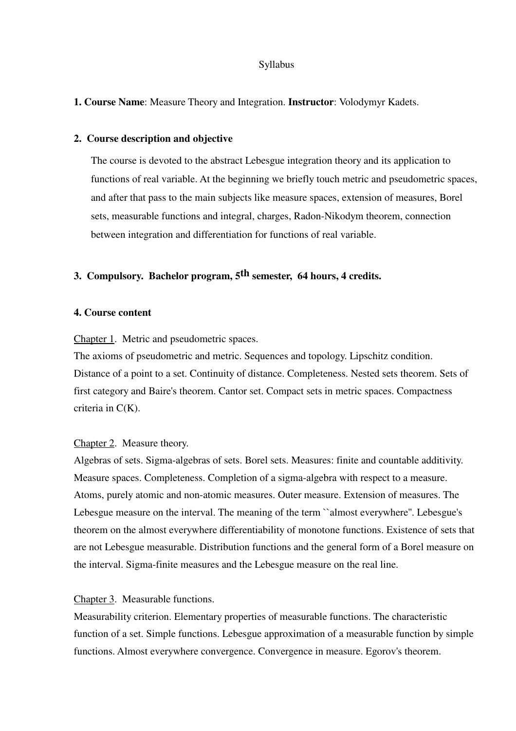#### Syllabus

## **1. Course Name**: Measure Theory and Integration. **Instructor**: Volodymyr Kadets.

#### **2. Course description and objective**

The course is devoted to the abstract Lebesgue integration theory and its application to functions of real variable. At the beginning we briefly touch metric and pseudometric spaces, and after that pass to the main subjects like measure spaces, extension of measures, Borel sets, measurable functions and integral, charges, Radon-Nikodym theorem, connection between integration and differentiation for functions of real variable.

# **3. Compulsory. Bachelor program, 5th semester, 64 hours, 4 credits.**

#### **4. Course content**

Chapter 1. Metric and pseudometric spaces.

The axioms of pseudometric and metric. Sequences and topology. Lipschitz condition. Distance of a point to a set. Continuity of distance. Completeness. Nested sets theorem. Sets of first category and Baire's theorem. Cantor set. Compact sets in metric spaces. Compactness criteria in C(K).

## Chapter 2. Measure theory.

Algebras of sets. Sigma-algebras of sets. Borel sets. Measures: finite and countable additivity. Measure spaces. Completeness. Completion of a sigma-algebra with respect to a measure. Atoms, purely atomic and non-atomic measures. Outer measure. Extension of measures. The Lebesgue measure on the interval. The meaning of the term ``almost everywhere''. Lebesgue's theorem on the almost everywhere differentiability of monotone functions. Existence of sets that are not Lebesgue measurable. Distribution functions and the general form of a Borel measure on the interval. Sigma-finite measures and the Lebesgue measure on the real line.

## Chapter 3. Measurable functions.

Measurability criterion. Elementary properties of measurable functions. The characteristic function of a set. Simple functions. Lebesgue approximation of a measurable function by simple functions. Almost everywhere convergence. Convergence in measure. Egorov's theorem.